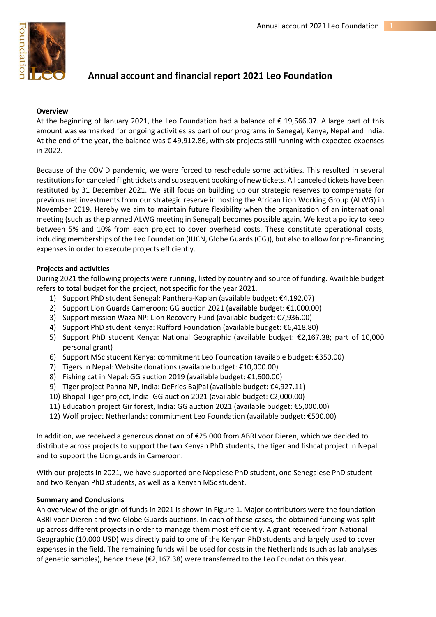

# **Annual account and financial report 2021 Leo Foundation**

#### **Overview**

At the beginning of January 2021, the Leo Foundation had a balance of € 19,566.07. A large part of this amount was earmarked for ongoing activities as part of our programs in Senegal, Kenya, Nepal and India. At the end of the year, the balance was € 49,912.86, with six projects still running with expected expenses in 2022.

Because of the COVID pandemic, we were forced to reschedule some activities. This resulted in several restitutions for canceled flight tickets and subsequent booking of new tickets. All canceled tickets have been restituted by 31 December 2021. We still focus on building up our strategic reserves to compensate for previous net investments from our strategic reserve in hosting the African Lion Working Group (ALWG) in November 2019. Hereby we aim to maintain future flexibility when the organization of an international meeting (such as the planned ALWG meeting in Senegal) becomes possible again. We kept a policy to keep between 5% and 10% from each project to cover overhead costs. These constitute operational costs, including memberships of the Leo Foundation (IUCN, Globe Guards(GG)), but also to allow for pre-financing expenses in order to execute projects efficiently.

#### **Projects and activities**

During 2021 the following projects were running, listed by country and source of funding. Available budget refers to total budget for the project, not specific for the year 2021.

- 1) Support PhD student Senegal: Panthera-Kaplan (available budget: €4,192.07)
- 2) Support Lion Guards Cameroon: GG auction 2021 (available budget: €1,000.00)
- 3) Support mission Waza NP: Lion Recovery Fund (available budget: €7,936.00)
- 4) Support PhD student Kenya: Rufford Foundation (available budget: €6,418.80)
- 5) Support PhD student Kenya: National Geographic (available budget: €2,167.38; part of 10,000 personal grant)
- 6) Support MSc student Kenya: commitment Leo Foundation (available budget: €350.00)
- 7) Tigers in Nepal: Website donations (available budget: €10,000.00)
- 8) Fishing cat in Nepal: GG auction 2019 (available budget: €1,600.00)
- 9) Tiger project Panna NP, India: DeFries BajPai (available budget: €4,927.11)
- 10) Bhopal Tiger project, India: GG auction 2021 (available budget: €2,000.00)
- 11) Education project Gir forest, India: GG auction 2021 (available budget: €5,000.00)
- 12) Wolf project Netherlands: commitment Leo Foundation (available budget: €500.00)

In addition, we received a generous donation of €25.000 from ABRI voor Dieren, which we decided to distribute across projects to support the two Kenyan PhD students, the tiger and fishcat project in Nepal and to support the Lion guards in Cameroon.

With our projects in 2021, we have supported one Nepalese PhD student, one Senegalese PhD student and two Kenyan PhD students, as well as a Kenyan MSc student.

#### **Summary and Conclusions**

An overview of the origin of funds in 2021 is shown in Figure 1. Major contributors were the foundation ABRI voor Dieren and two Globe Guards auctions. In each of these cases, the obtained funding was split up across different projects in order to manage them most efficiently. A grant received from National Geographic (10.000 USD) was directly paid to one of the Kenyan PhD students and largely used to cover expenses in the field. The remaining funds will be used for costs in the Netherlands (such as lab analyses of genetic samples), hence these ( $\epsilon$ 2,167.38) were transferred to the Leo Foundation this year.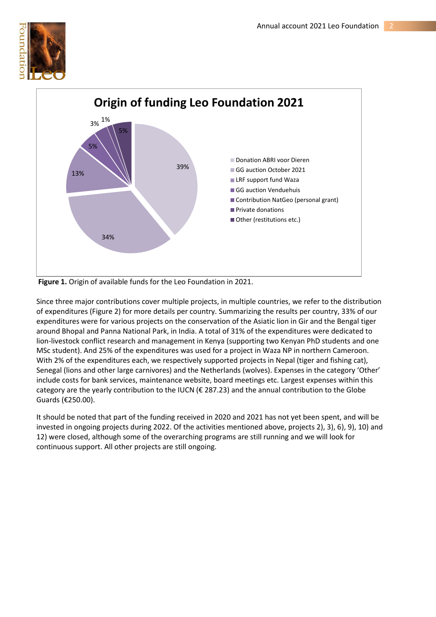



**Figure 1.** Origin of available funds for the Leo Foundation in 2021.

Since three major contributions cover multiple projects, in multiple countries, we refer to the distribution of expenditures (Figure 2) for more details per country. Summarizing the results per country, 33% of our expenditures were for various projects on the conservation of the Asiatic lion in Gir and the Bengal tiger around Bhopal and Panna National Park, in India. A total of 31% of the expenditures were dedicated to lion-livestock conflict research and management in Kenya (supporting two Kenyan PhD students and one MSc student). And 25% of the expenditures was used for a project in Waza NP in northern Cameroon. With 2% of the expenditures each, we respectively supported projects in Nepal (tiger and fishing cat), Senegal (lions and other large carnivores) and the Netherlands (wolves). Expenses in the category 'Other' include costs for bank services, maintenance website, board meetings etc. Largest expenses within this category are the yearly contribution to the IUCN (€ 287.23) and the annual contribution to the Globe Guards (€250.00).

It should be noted that part of the funding received in 2020 and 2021 has not yet been spent, and will be invested in ongoing projects during 2022. Of the activities mentioned above, projects 2), 3), 6), 9), 10) and 12) were closed, although some of the overarching programs are still running and we will look for continuous support. All other projects are still ongoing.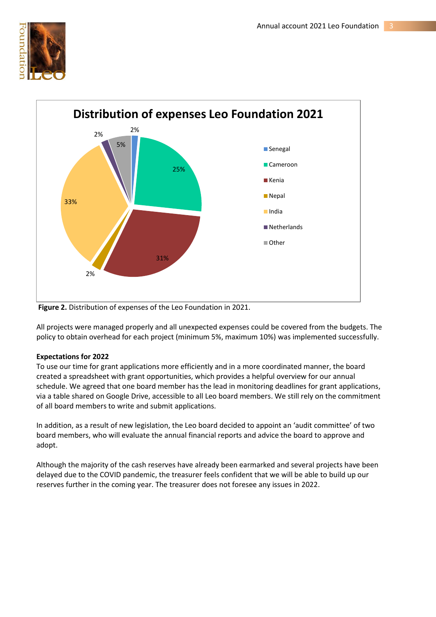



**Figure 2.** Distribution of expenses of the Leo Foundation in 2021.

All projects were managed properly and all unexpected expenses could be covered from the budgets. The policy to obtain overhead for each project (minimum 5%, maximum 10%) was implemented successfully.

### **Expectations for 2022**

To use our time for grant applications more efficiently and in a more coordinated manner, the board created a spreadsheet with grant opportunities, which provides a helpful overview for our annual schedule. We agreed that one board member has the lead in monitoring deadlines for grant applications, via a table shared on Google Drive, accessible to all Leo board members. We still rely on the commitment of all board members to write and submit applications.

In addition, as a result of new legislation, the Leo board decided to appoint an 'audit committee' of two board members, who will evaluate the annual financial reports and advice the board to approve and adopt.

Although the majority of the cash reserves have already been earmarked and several projects have been delayed due to the COVID pandemic, the treasurer feels confident that we will be able to build up our reserves further in the coming year. The treasurer does not foresee any issues in 2022.